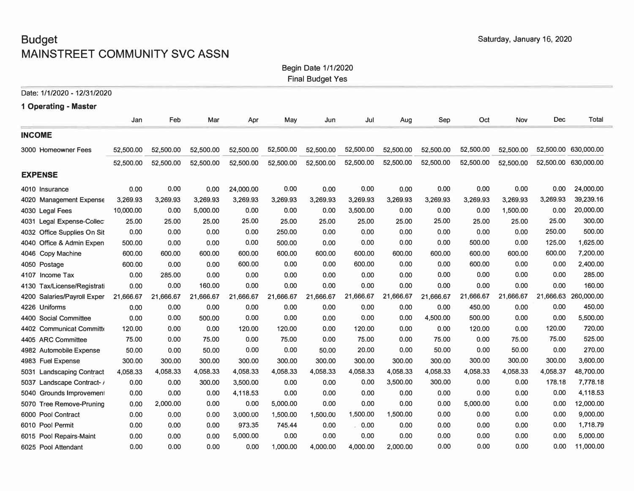# **Budget** Saturday, January 16, 2020 **MAINSTREET COMMUNITY SVC ASSN**

#### Begin Date 1/1/2020

Final Budget Yes

| Date: 1/1/2020 - 12/31/2020 |           |           |           |           |           |           |           |           |           |           |           |          |                      |
|-----------------------------|-----------|-----------|-----------|-----------|-----------|-----------|-----------|-----------|-----------|-----------|-----------|----------|----------------------|
| 1 Operating - Master        |           |           |           |           |           |           |           |           |           |           |           |          |                      |
|                             | Jan       | Feb       | Mar       | Apr       | May       | Jun       | Jul       | Aug       | Sep       | Oct       | Nov       | Dec      | Total                |
| <b>INCOME</b>               |           |           |           |           |           |           |           |           |           |           |           |          |                      |
| 3000 Homeowner Fees         | 52,500.00 | 52,500.00 | 52,500.00 | 52,500.00 | 52,500.00 | 52,500.00 | 52,500.00 | 52,500.00 | 52,500.00 | 52,500.00 | 52,500.00 |          | 52,500.00 630,000.00 |
|                             | 52,500.00 | 52,500.00 | 52,500.00 | 52,500.00 | 52,500.00 | 52,500.00 | 52,500.00 | 52,500.00 | 52,500.00 | 52,500.00 | 52,500.00 |          | 52,500.00 630,000.00 |
| <b>EXPENSE</b>              |           |           |           |           |           |           |           |           |           |           |           |          |                      |
| 4010 Insurance              | 0.00      | 0.00      | 0.00      | 24,000.00 | 0.00      | 0.00      | 0.00      | 0.00      | 0.00      | 0.00      | 0.00      | 0.00     | 24,000.00            |
| 4020 Management Expense     | 3,269.93  | 3,269.93  | 3,269.93  | 3,269.93  | 3,269.93  | 3,269.93  | 3,269.93  | 3,269.93  | 3,269.93  | 3,269.93  | 3,269.93  | 3,269.93 | 39,239.16            |
| 4030 Legal Fees             | 10,000.00 | 0.00      | 5,000.00  | 0.00      | 0.00      | 0.00      | 3,500.00  | 0.00      | 0.00      | 0.00      | 1,500.00  | 0.00     | 20,000.00            |
| 4031 Legal Expense-Collec   | 25.00     | 25.00     | 25.00     | 25.00     | 25.00     | 25.00     | 25.00     | 25.00     | 25.00     | 25.00     | 25.00     | 25.00    | 300.00               |
| 4032 Office Supplies On Sit | 0.00      | 0.00      | 0.00      | 0.00      | 250.00    | 0.00      | 0.00      | 0.00      | 0.00      | 0.00      | 0.00      | 250.00   | 500.00               |
| 4040 Office & Admin Expen   | 500.00    | 0.00      | 0.00      | 0.00      | 500.00    | 0.00      | 0.00      | 0.00      | 0.00      | 500.00    | 0.00      | 125.00   | 1,625.00             |
| 4046 Copy Machine           | 600.00    | 600.00    | 600.00    | 600.00    | 600.00    | 600.00    | 600.00    | 600.00    | 600.00    | 600.00    | 600.00    | 600.00   | 7,200.00             |
| 4050 Postage                | 600.00    | 0.00      | 0.00      | 600.00    | 0.00      | 0.00      | 600.00    | 0.00      | 0.00      | 600.00    | 0.00      | 0.00     | 2,400.00             |
| 4107 Income Tax             | 0.00      | 285.00    | 0.00      | 0.00      | 0.00      | 0.00      | 0.00      | 0.00      | 0.00      | 0.00      | 0.00      | 0.00     | 285.00               |
| 4130 Tax/License/Registrati | 0.00      | 0.00      | 160.00    | 0.00      | 0.00      | 0.00      | 0.00      | 0.00      | 0.00      | 0.00      | 0.00      | 0.00     | 160.00               |
| 4200 Salaries/Payroll Exper | 21,666.67 | 21,666.67 | 21,666.67 | 21,666.67 | 21,666.67 | 21,666.67 | 21,666.67 | 21,666.67 | 21,666.67 | 21,666.67 | 21,666.67 |          | 21,666.63 260,000.00 |
| 4226 Uniforms               | 0.00      | 0.00      | 0.00      | 0.00      | 0.00      | 0.00      | 0.00      | 0.00      | 0.00      | 450.00    | 0.00      | 0.00     | 450.00               |
| 4400 Social Committee       | 0.00      | 0.00      | 500.00    | 0.00      | 0.00      | 0.00      | 0.00      | 0.00      | 4,500.00  | 500,00    | 0.00      | 0.00     | 5,500.00             |
| 4402 Communicat Committe    | 120.00    | 0.00      | 0.00      | 120.00    | 120.00    | 0.00      | 120.00    | 0.00      | 0.00      | 120.00    | 0.00      | 120.00   | 720.00               |
| 4405 ARC Committee          | 75.00     | 0.00      | 75.00     | 0.00      | 75.00     | 0.00      | 75.00     | 0.00      | 75.00     | 0.00      | 75.00     | 75.00    | 525.00               |
| 4982 Automobile Expense     | 50.00     | 0.00      | 50.00     | 0.00      | 0.00      | 50.00     | 20.00     | 0.00      | 50.00     | 0.00      | 50.00     | 0.00     | 270.00               |
| 4983 Fuel Expense           | 300.00    | 300.00    | 300.00    | 300.00    | 300.00    | 300.00    | 300.00    | 300.00    | 300.00    | 300.00    | 300.00    | 300.00   | 3,600.00             |
| 5031 Landscaping Contract   | 4,058.33  | 4,058.33  | 4,058.33  | 4,058.33  | 4,058.33  | 4,058.33  | 4,058.33  | 4,058.33  | 4,058.33  | 4,058.33  | 4,058.33  | 4,058.37 | 48,700.00            |
| 5037 Landscape Contract- /  | 0.00      | 0.00      | 300.00    | 3,500.00  | 0.00      | 0.00      | 0.00      | 3,500.00  | 300.00    | 0.00      | 0.00      | 178.18   | 7,778.18             |
| 5040 Grounds Improvement    | 0.00      | 0.00      | 0.00      | 4,118.53  | 0.00      | 0.00      | 0.00      | 0.00      | 0.00      | 0.00      | 0.00      | 0.00     | 4,118.53             |
| 5070 Tree Remove-Pruning    | 0.00      | 2,000.00  | 0.00      | 0.00      | 5,000.00  | 0.00      | 0.00      | 0.00      | 0.00      | 5,000.00  | 0.00      | 0.00     | 12,000.00            |
| 6000 Pool Contract          | 0.00      | 0.00      | 0.00      | 3,000.00  | 1,500.00  | 1,500.00  | 1,500.00  | 1,500.00  | 0.00      | 0.00      | 0.00      | 0.00     | 9,000.00             |
| 6010 Pool Permit            | 0.00      | 0.00      | 0.00      | 973.35    | 745.44    | 0.00      | . 0.00    | 0.00      | 0.00      | 0.00      | 0.00      | 0.00     | 1,718.79             |
| 6015 Pool Repairs-Maint     | 0.00      | 0.00      | 0.00      | 5,000.00  | 0.00      | 0.00      | 0.00      | 0.00      | 0.00      | 0.00      | 0.00      | 0.00     | 5,000.00             |
| 6025 Pool Attendant         | 0.00      | 0.00      | 0.00      | 0.00      | 1.000.00  | 4,000,00  | 4,000.00  | 2.000.00  | 0.00      | 0.00      | 0.00      | 0.00     | 11,000.00            |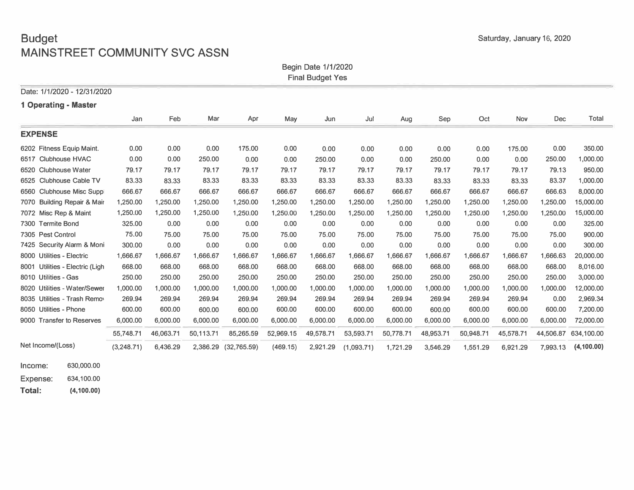# **Budget** Saturday, January 16, 2020 **MAINSTREET COMMUNITY SVC ASSN**

Begin Date 1/1/2020

|  | <b>Final Budget Yes</b> |  |
|--|-------------------------|--|
|--|-------------------------|--|

| Date: 1/1/2020 - 12/31/2020     |            |           |           |             |           |           |            |           |           |           |           |           |            |
|---------------------------------|------------|-----------|-----------|-------------|-----------|-----------|------------|-----------|-----------|-----------|-----------|-----------|------------|
| 1 Operating - Master            |            |           |           |             |           |           |            |           |           |           |           |           |            |
|                                 | Jan        | Feb       | Mar       | Apr         | May       | Jun       | Jul        | Aug       | Sep       | Oct       | Nov       | Dec       | Total      |
| <b>EXPENSE</b>                  |            |           |           |             |           |           |            |           |           |           |           |           |            |
| 6202 Fitness Equip Maint.       | 0.00       | 0.00      | 0.00      | 175.00      | 0.00      | 0.00      | 0.00       | 0.00      | 0.00      | 0.00      | 175.00    | 0.00      | 350.00     |
| 6517 Clubhouse HVAC             | 0.00       | 0.00      | 250.00    | 0.00        | 0.00      | 250.00    | 0.00       | 0.00      | 250.00    | 0.00      | 0.00      | 250.00    | 1,000.00   |
| 6520 Clubhouse Water            | 79.17      | 79.17     | 79.17     | 79.17       | 79.17     | 79.17     | 79.17      | 79.17     | 79.17     | 79.17     | 79.17     | 79.13     | 950,00     |
| 6525 Clubhouse Cable TV         | 83.33      | 83.33     | 83.33     | 83.33       | 83.33     | 83.33     | 83.33      | 83,33     | 83.33     | 83.33     | 83.33     | 83.37     | 1,000.00   |
| 6560 Clubhouse Misc Suppl       | 666.67     | 666.67    | 666.67    | 666.67      | 666.67    | 666.67    | 666.67     | 666.67    | 666.67    | 666.67    | 666.67    | 666.63    | 8.000.00   |
| 7070 Building Repair & Mair     | 1,250.00   | 1,250.00  | 1,250.00  | 1,250.00    | 1,250.00  | 1,250.00  | 1,250.00   | 1,250.00  | 1,250.00  | 1,250.00  | 1,250.00  | 1,250.00  | 15,000.00  |
| 7072 Misc Rep & Maint           | 1,250.00   | 1,250.00  | 1,250.00  | 1,250.00    | 1,250.00  | 1,250.00  | 1,250.00   | 1,250.00  | 1,250.00  | 1,250.00  | 1,250.00  | 1,250.00  | 15,000.00  |
| 7300 Termite Bond               | 325.00     | 0.00      | 0.00      | 0.00        | 0.00      | 0.00      | 0.00       | 0.00      | 0.00      | 0.00      | 0.00      | 0.00      | 325.00     |
| 7305 Pest Control               | 75.00      | 75.00     | 75.00     | 75.00       | 75.00     | 75.00     | 75.00      | 75,00     | 75.00     | 75.00     | 75.00     | 75.00     | 900.00     |
| 7425 Security Alarm & Moni      | 300.00     | 0.00      | 0.00      | 0.00        | 0.00      | 0.00      | 0.00       | 0.00      | 0.00      | 0.00      | 0.00      | 0.00      | 300.00     |
| 8000 Utilities - Electric       | 1,666.67   | 1,666.67  | 1,666.67  | 1,666.67    | 1,666.67  | 1,666.67  | 1,666.67   | 1,666.67  | 1,666.67  | 1,666.67  | 1,666.67  | 1,666.63  | 20,000.00  |
| 8001 Utilities - Electric (Ligh | 668.00     | 668.00    | 668.00    | 668.00      | 668.00    | 668.00    | 668.00     | 668,00    | 668,00    | 668.00    | 668,00    | 668.00    | 8,016.00   |
| 8010 Utilities - Gas            | 250.00     | 250.00    | 250.00    | 250.00      | 250.00    | 250.00    | 250,00     | 250,00    | 250,00    | 250.00    | 250,00    | 250.00    | 3,000.00   |
| 8020 Utilities - Water/Sewer    | 1,000,00   | 1,000.00  | 1,000.00  | 1,000.00    | 1,000.00  | 1.000.00  | 1,000.00   | 1.000.00  | 1,000.00  | 1,000.00  | 1.000.00  | 1,000.00  | 12,000.00  |
| 8035 Utilities - Trash Remov    | 269.94     | 269.94    | 269.94    | 269.94      | 269.94    | 269.94    | 269.94     | 269.94    | 269.94    | 269.94    | 269.94    | 0.00      | 2.969.34   |
| 8050 Utilities - Phone          | 600.00     | 600.00    | 600.00    | 600.00      | 600.00    | 600.00    | 600.00     | 600.00    | 600.00    | 600.00    | 600.00    | 600.00    | 7,200.00   |
| 9000 Transfer to Reserves       | 6,000.00   | 6,000.00  | 6,000.00  | 6,000.00    | 6,000.00  | 6,000.00  | 6,000.00   | 6,000.00  | 6,000.00  | 6,000.00  | 6,000.00  | 6,000.00  | 72,000.00  |
|                                 | 55,748.71  | 46,063.71 | 50,113.71 | 85,265.59   | 52,969.15 | 49,578.71 | 53,593.71  | 50,778.71 | 48,953.71 | 50,948.71 | 45,578.71 | 44,506.87 | 634.100.00 |
| Net Income/(Loss)               | (3,248.71) | 6,436.29  | 2,386.29  | (32,765.59) | (469.15)  | 2,921.29  | (1,093.71) | 1,721.29  | 3,546.29  | 1,551.29  | 6,921.29  | 7.993.13  | (4,100.00) |

Income: **630,000.00** 

Expense: **634,100.00** 

**Total: (4,100.00)**